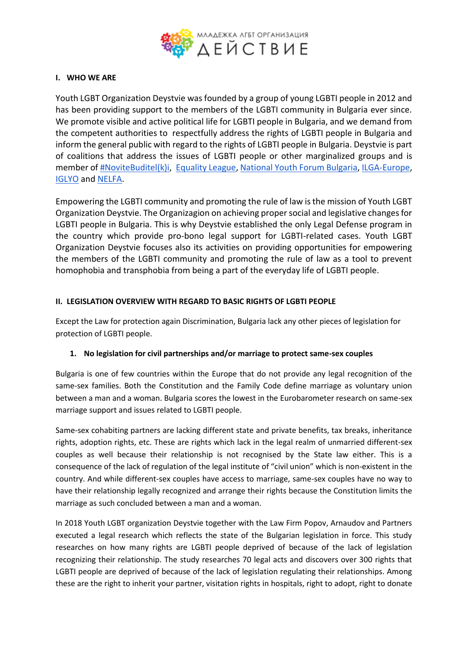

#### **I. WHO WE ARE**

Youth LGBT Organization Deystvie was founded by a group of young LGBTI people in 2012 and has been providing support to the members of the LGBTI community in Bulgaria ever since. We promote visible and active political life for LGBTI people in Bulgaria, and we demand from the competent authorities to respectfully address the rights of LGBTI people in Bulgaria and inform the general public with regard to the rights of LGBTI people in Bulgaria. Deystvie is part of coalitions that address the issues of LGBTI people or other marginalized groups and is member of [#NoviteBuditel\(k\)i,](https://newbuditelumenie.blogspot.com/) [Equality League,](https://www.facebook.com/equalityleaguebg/) [National Youth Forum Bulgaria,](https://nmf.bg/) [ILGA-Europe,](https://www.ilga-europe.org/) [IGLYO](http://www.iglyo.com/) and [NELFA.](http://nelfa.org/)

Empowering the LGBTI community and promoting the rule of law is the mission of Youth LGBT Organization Deystvie. The Organizagion on achieving proper social and legislative changes for LGBTI people in Bulgaria. This is why Deystvie established the only Legal Defense program in the country which provide pro-bono legal support for LGBTI-related cases. Youth LGBT Organization Deystvie focuses also its activities on providing opportunities for empowering the members of the LGBTI community and promoting the rule of law as a tool to prevent homophobia and transphobia from being a part of the everyday life of LGBTI people.

#### **II. LEGISLATION OVERVIEW WITH REGARD TO BASIC RIGHTS OF LGBTI PEOPLE**

Except the Law for protection again Discrimination, Bulgaria lack any other pieces of legislation for protection of LGBTI people.

#### **1. No legislation for civil partnerships and/or marriage to protect same-sex couples**

Bulgaria is one of few countries within the Europe that do not provide any legal recognition of the same-sex families. Both the Constitution and the Family Code define marriage as voluntary union between a man and a woman. Bulgaria scores the lowest in the Eurobarometer research on same-sex marriage support and issues related to LGBTI people.

Same-sex cohabiting partners are lacking different state and private benefits, tax breaks, inheritance rights, adoption rights, etc. These are rights which lack in the legal realm of unmarried different-sex couples as well because their relationship is not recognised by the State law either. This is a consequence of the lack of regulation of the legal institute of "civil union" which is non-existent in the country. And while different-sex couples have access to marriage, same-sex couples have no way to have their relationship legally recognized and arrange their rights because the Constitution limits the marriage as such concluded between a man and a woman.

In 2018 Youth LGBT organization Deystvie together with the Law Firm Popov, Arnaudov and Partners executed a legal research which reflects the state of the Bulgarian legislation in force. This study researches on how many rights are LGBTI people deprived of because of the lack of legislation recognizing their relationship. The study researches 70 legal acts and discovers over 300 rights that LGBTI people are deprived of because of the lack of legislation regulating their relationships. Among these are the right to inherit your partner, visitation rights in hospitals, right to adopt, right to donate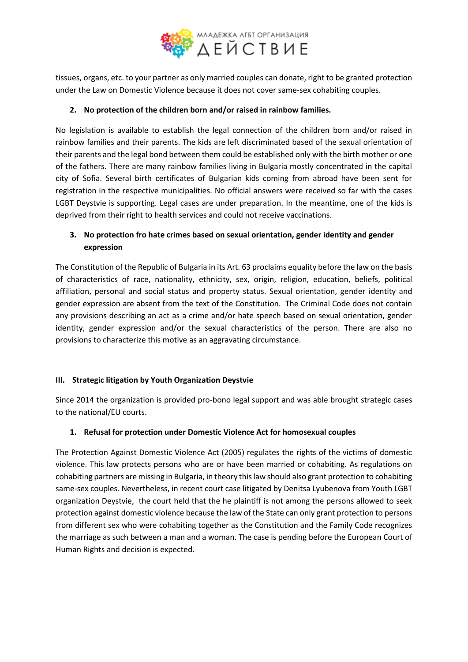

tissues, organs, etc. to your partner as only married couples can donate, right to be granted protection under the Law on Domestic Violence because it does not cover same-sex cohabiting couples.

### **2. No protection of the children born and/or raised in rainbow families.**

No legislation is available to establish the legal connection of the children born and/or raised in rainbow families and their parents. The kids are left discriminated based of the sexual orientation of their parents and the legal bond between them could be established only with the birth mother or one of the fathers. There are many rainbow families living in Bulgaria mostly concentrated in the capital city of Sofia. Several birth certificates of Bulgarian kids coming from abroad have been sent for registration in the respective municipalities. No official answers were received so far with the cases LGBT Deystvie is supporting. Legal cases are under preparation. In the meantime, one of the kids is deprived from their right to health services and could not receive vaccinations.

# **3. No protection fro hate crimes based on sexual orientation, gender identity and gender expression**

The Constitution of the Republic of Bulgaria in its Art. 63 proclaims equality before the law on the basis of characteristics of race, nationality, ethnicity, sex, origin, religion, education, beliefs, political affiliation, personal and social status and property status. Sexual orientation, gender identity and gender expression are absent from the text of the Constitution. The Criminal Code does not contain any provisions describing an act as a crime and/or hate speech based on sexual orientation, gender identity, gender expression and/or the sexual characteristics of the person. There are also no provisions to characterize this motive as an aggravating circumstance.

#### **III. Strategic litigation by Youth Organization Deystvie**

Since 2014 the organization is provided pro-bono legal support and was able brought strategic cases to the national/EU courts.

#### **1. Refusal for protection under Domestic Violence Act for homosexual couples**

The Protection Against Domestic Violence Act (2005) regulates the rights of the victims of domestic violence. This law protects persons who are or have been married or cohabiting. As regulations on cohabiting partners are missing in Bulgaria, in theory this law should also grant protection to cohabiting same-sex couples. Nevertheless, in recent court case litigated by Denitsa Lyubenova from Youth LGBT organization Deystvie, the court held that the he plaintiff is not among the persons allowed to seek protection against domestic violence because the law of the State can only grant protection to persons from different sex who were cohabiting together as the Constitution and the Family Code recognizes the marriage as such between a man and a woman. The case is pending before the European Court of Human Rights and decision is expected.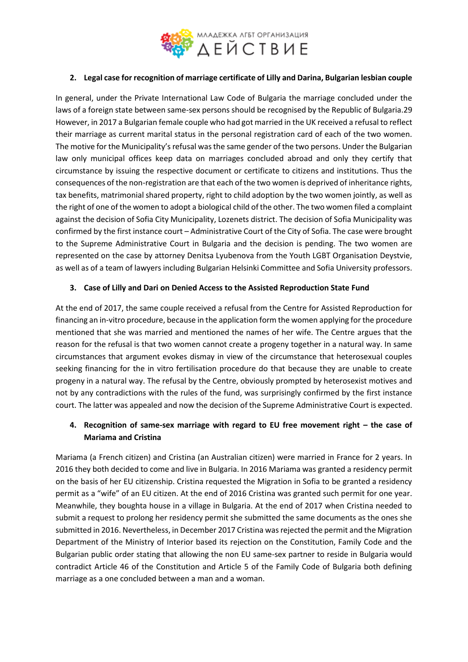

### **2. Legal case for recognition of marriage certificate of Lilly and Darina, Bulgarian lesbian couple**

In general, under the Private International Law Code of Bulgaria the marriage concluded under the laws of a foreign state between same-sex persons should be recognised by the Republic of Bulgaria.29 However, in 2017 a Bulgarian female couple who had got married in the UK received a refusal to reflect their marriage as current marital status in the personal registration card of each of the two women. The motive for the Municipality's refusal was the same gender of the two persons. Under the Bulgarian law only municipal offices keep data on marriages concluded abroad and only they certify that circumstance by issuing the respective document or certificate to citizens and institutions. Thus the consequences of the non-registration are that each of the two women is deprived of inheritance rights, tax benefits, matrimonial shared property, right to child adoption by the two women jointly, as well as the right of one of the women to adopt a biological child of the other. The two women filed a complaint against the decision of Sofia City Municipality, Lozenets district. The decision of Sofia Municipality was confirmed by the first instance court – Administrative Court of the City of Sofia. The case were brought to the Supreme Administrative Court in Bulgaria and the decision is pending. The two women are represented on the case by attorney Denitsa Lyubenova from the Youth LGBT Organisation Deystvie, as well as of a team of lawyers including Bulgarian Helsinki Committee and Sofia University professors.

#### **3. Case of Lilly and Dari on Denied Access to the Assisted Reproduction State Fund**

At the end of 2017, the same couple received a refusal from the Centre for Assisted Reproduction for financing an in-vitro procedure, because in the application form the women applying for the procedure mentioned that she was married and mentioned the names of her wife. The Centre argues that the reason for the refusal is that two women cannot create a progeny together in a natural way. In same circumstances that argument evokes dismay in view of the circumstance that heterosexual couples seeking financing for the in vitro fertilisation procedure do that because they are unable to create progeny in a natural way. The refusal by the Centre, obviously prompted by heterosexist motives and not by any contradictions with the rules of the fund, was surprisingly confirmed by the first instance court. The latter was appealed and now the decision of the Supreme Administrative Court is expected.

## **4. Recognition of same-sex marriage with regard to EU free movement right – the case of Mariama and Cristina**

Mariama (a French citizen) and Cristina (an Australian citizen) were married in France for 2 years. In 2016 they both decided to come and live in Bulgaria. In 2016 Mariama was granted a residency permit on the basis of her EU citizenship. Cristina requested the Migration in Sofia to be granted a residency permit as a "wife" of an EU citizen. At the end of 2016 Cristina was granted such permit for one year. Meanwhile, they boughta house in a village in Bulgaria. At the end of 2017 when Cristina needed to submit a request to prolong her residency permit she submitted the same documents as the ones she submitted in 2016. Nevertheless, in December 2017 Cristina was rejected the permit and the Migration Department of the Ministry of Interior based its rejection on the Constitution, Family Code and the Bulgarian public order stating that allowing the non EU same-sex partner to reside in Bulgaria would contradict Article 46 of the Constitution and Article 5 of the Family Code of Bulgaria both defining marriage as a one concluded between a man and a woman.